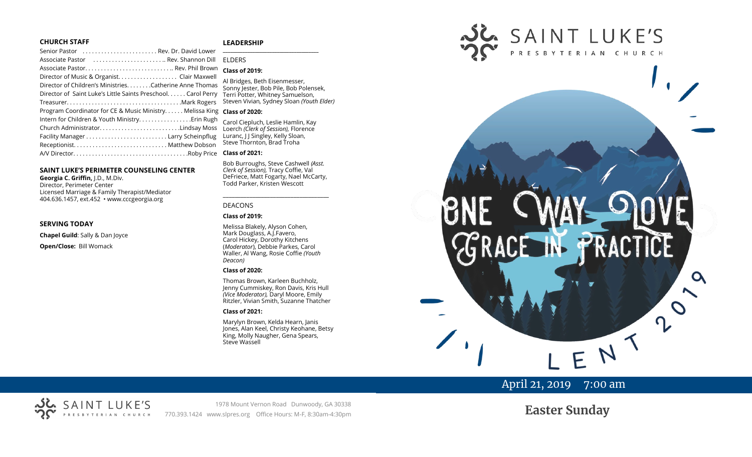#### **CHURCH STAFF**

#### **LEADERSHIP**

| Senior Pastor  Rev. Dr. David Lower                           | $\begin{array}{cccccccccc} \multicolumn{2}{c}{} & \multicolumn{2}{c}{} & \multicolumn{2}{c}{} & \multicolumn{2}{c}{} & \multicolumn{2}{c}{} & \multicolumn{2}{c}{} & \multicolumn{2}{c}{} & \multicolumn{2}{c}{} & \multicolumn{2}{c}{} & \multicolumn{2}{c}{} & \multicolumn{2}{c}{} & \multicolumn{2}{c}{} & \multicolumn{2}{c}{} & \multicolumn{2}{c}{} & \multicolumn{2}{c}{} & \multicolumn{2}{c}{} & \multicolumn{2}{c}{} & \multicolumn{2}{c}{} & \multicolumn{2}{c}{} & \mult$ |
|---------------------------------------------------------------|----------------------------------------------------------------------------------------------------------------------------------------------------------------------------------------------------------------------------------------------------------------------------------------------------------------------------------------------------------------------------------------------------------------------------------------------------------------------------------------|
| Associate Pastor  Rev. Shannon Dill                           | <b>FIDERS</b>                                                                                                                                                                                                                                                                                                                                                                                                                                                                          |
|                                                               | Class of                                                                                                                                                                                                                                                                                                                                                                                                                                                                               |
| Director of Music & Organist. Clair Maxwell                   |                                                                                                                                                                                                                                                                                                                                                                                                                                                                                        |
| Director of Children's Ministries. Catherine Anne Thomas      | Al Bridge<br>Sonny le                                                                                                                                                                                                                                                                                                                                                                                                                                                                  |
| Director of Saint Luke's Little Saints Preschool. Carol Perry | <b>Terri Pot</b>                                                                                                                                                                                                                                                                                                                                                                                                                                                                       |
|                                                               | Steven V                                                                                                                                                                                                                                                                                                                                                                                                                                                                               |
| Program Coordinator for CE & Music Ministry Melissa King      | Class of                                                                                                                                                                                                                                                                                                                                                                                                                                                                               |
| Intern for Children & Youth Ministry Erin Rugh                | Carol Cie                                                                                                                                                                                                                                                                                                                                                                                                                                                                              |
| Church AdministratorLindsay Moss                              | Loerch (                                                                                                                                                                                                                                                                                                                                                                                                                                                                               |
|                                                               | Luranc, I                                                                                                                                                                                                                                                                                                                                                                                                                                                                              |
|                                                               | Steve Th                                                                                                                                                                                                                                                                                                                                                                                                                                                                               |
|                                                               | Class of                                                                                                                                                                                                                                                                                                                                                                                                                                                                               |
|                                                               |                                                                                                                                                                                                                                                                                                                                                                                                                                                                                        |

#### **SAINT LUKE'S PERIMETER COUNSELING CENTER**

**Georgia C. Griffin,** J.D., M.Div. Director, Perimeter Center Licensed Marriage & Family Therapist/Mediator 404.636.1457, ext.452 • www.cccgeorgia.org

#### **SERVING TODAY**

**Chapel Guild**: Sally & Dan Joyce

**Open/Close:** Bill Womack

## **\_\_\_\_\_\_\_\_\_\_\_\_\_\_\_\_\_\_\_\_\_\_\_\_\_\_\_\_\_\_\_\_\_\_\_\_\_\_\_**

## **Class of 2019:**

**Bridges, Beth Eisenmesser,** Sonny Jester, Bob Pile, Bob Polensek, Terri Potter, Whitney Samuelson, Steven Vivian*,* Sydney Sloan *(Youth Elder)*

#### **Class of 2020:**

Carol Ciepluch, Leslie Hamlin, Kay Loerch *(Clerk of Session),* Florence Luranc, J J Singley, Kelly Sloan, teve Thornton, Brad Troha

#### **Class of 2021:**

Bob Burroughs, Steve Cashwell *(Asst. Clerk of Session),* Tracy Coffie, Val DeFriece, Matt Fogarty, Nael McCarty, Todd Parker, Kristen Wescott

\_\_\_\_\_\_\_\_\_\_\_\_\_\_\_\_\_\_\_\_\_\_\_\_\_\_\_\_\_\_\_\_\_\_\_\_

#### DEACONS

#### **Class of 2019:**

Melissa Blakely, Alyson Cohen, Mark Douglass, A.J.Favero, Carol Hickey, Dorothy Kitchens (*Moderator*), Debbie Parkes, Carol Waller, Al Wang, Rosie Coffie *(Youth Deacon)* 

#### **Class of 2020:**

Thomas Brown, Karleen Buchholz, Jenny Cummiskey, Ron Davis, Kris Hull *(Vice Moderator),* Daryl Moore, Emily Ritzler, Vivian Smith, Suzanne Thatcher

#### **Class of 2021:**

Marylyn Brown, Kelda Hearn, Janis Jones, Alan Keel, Christy Keohane, Betsy King, Molly Naugher, Gena Spears, Steve Wassell



# April 21, 2019 7:00 am

#### SL. SAINT LUKE'S TERIAN CHURCH

1978 Mount Vernon Road Dunwoody, GA 30338 770.393.1424 www.slpres.org Office Hours: M-F, 8:30am-4:30pm

**Easter Sunday**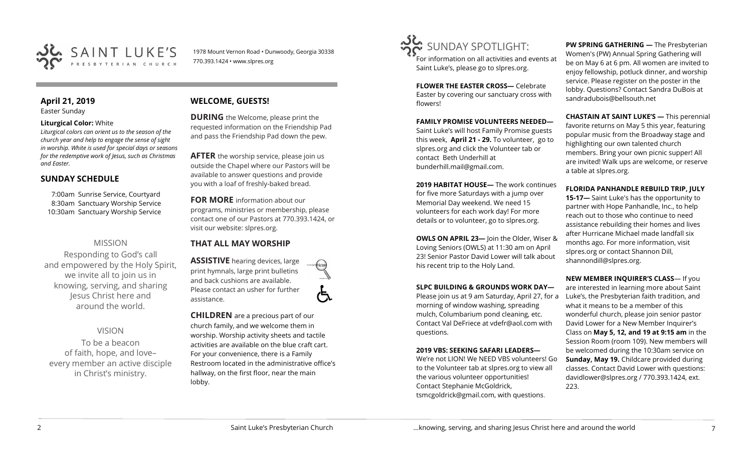

1978 Mount Vernon Road • Dunwoody, Georgia 30338 770.393.1424 • www.slpres.org

#### **April 21, 2019**  Easter Sunday

#### **Liturgical Color:** White

*Liturgical colors can orient us to the season of the church year and help to engage the sense of sight in worship. White is used for special days or seasons for the redemptive work of Jesus, such as Christmas and Easter.*

## **SUNDAY SCHEDULE**

7:00am Sunrise Service, Courtyard 8:30am Sanctuary Worship Service 10:30am Sanctuary Worship Service

## MISSION

Responding to God's call and empowered by the Holy Spirit, we invite all to join us in knowing, serving, and sharing Jesus Christ here and around the world.

VISION

To be a beacon of faith, hope, and love– every member an active disciple in Christ's ministry.

## **WELCOME, GUESTS!**

**DURING** the Welcome, please print the requested information on the Friendship Pad and pass the Friendship Pad down the pew.

**AFTER** the worship service, please join us outside the Chapel where our Pastors will be available to answer questions and provide you with a loaf of freshly-baked bread.

**FOR MORE** information about our programs, ministries or membership, please contact one of our Pastors at 770.393.1424, or visit our website: slpres.org.

## **THAT ALL MAY WORSHIP**

**ASSISTIVE** hearing devices, large print hymnals, large print bulletins and back cushions are available. Please contact an usher for further assistance.

**CHILDREN** are a precious part of our church family, and we welcome them in worship. Worship activity sheets and tactile activities are available on the blue craft cart. For your convenience, there is a Family Restroom located in the administrative office's hallway, on the first floor, near the main lobby.



For information on all activities and events at Saint Luke's, please go to slpres.org.

**FLOWER THE EASTER CROSS—** Celebrate Easter by covering our sanctuary cross with flowers!

**FAMILY PROMISE VOLUNTEERS NEEDED—** Saint Luke's will host Family Promise guests this week, **April 21 - 29.** To volunteer, go to slpres.org and click the Volunteer tab or contact Beth Underhill at bunderhill.mail@gmail.com.

**2019 HABITAT HOUSE—** The work continues for five more Saturdays with a jump over Memorial Day weekend. We need 15 volunteers for each work day! For more details or to volunteer, go to slpres.org.

**OWLS ON APRIL 23—** Join the Older, Wiser & Loving Seniors (OWLS) at 11:30 am on April 23! Senior Pastor David Lower will talk about his recent trip to the Holy Land.

### **SLPC BUILDING & GROUNDS WORK DAY—**

Please join us at 9 am Saturday, April 27, for a morning of window washing, spreading mulch, Columbarium pond cleaning, etc. Contact Val DeFriece at vdefr@aol.com with questions.

#### **2019 VBS: SEEKING SAFARI LEADERS—**

We're not LION! We NEED VBS volunteers! Go to the Volunteer tab at slpres.org to view all the various volunteer opportunities! Contact Stephanie McGoldrick, tsmcgoldrick@gmail.com, with questions.

**PW SPRING GATHERING —** The Presbyterian Women's (PW) Annual Spring Gathering will be on May 6 at 6 pm. All women are invited to enjoy fellowship, potluck dinner, and worship service. Please register on the poster in the lobby. Questions? Contact Sandra DuBois at [sandradubois@bellsouth.net](mailto:sandradubois@bellsouth.net)

**CHASTAIN AT SAINT LUKE'S —** This perennial favorite returns on May 5 this year, featuring popular music from the Broadway stage and highlighting our own talented church members. Bring your own picnic supper! All are invited! Walk ups are welcome, or reserve a table at slpres.org.

### **FLORIDA PANHANDLE REBUILD TRIP, JULY**

**15-17—** Saint Luke's has the opportunity to partner with Hope Panhandle, Inc., to help reach out to those who continue to need assistance rebuilding their homes and lives after Hurricane Michael made landfall six months ago. For more information, visit slpres.org or contact Shannon Dill, shannondill@slpres.org.

**NEW MEMBER INQUIRER'S CLASS**— If you are interested in learning more about Saint Luke's, the Presbyterian faith tradition, and what it means to be a member of this wonderful church, please join senior pastor David Lower for a New Member Inquirer's Class on **May 5, 12, and 19 at 9:15 am** in the Session Room (room 109). New members will be welcomed during the 10:30am service on **Sunday, May 19.** Childcare provided during classes. Contact David Lower with questions: davidlower@slpres.org / 770.393.1424, ext. 223.

ල්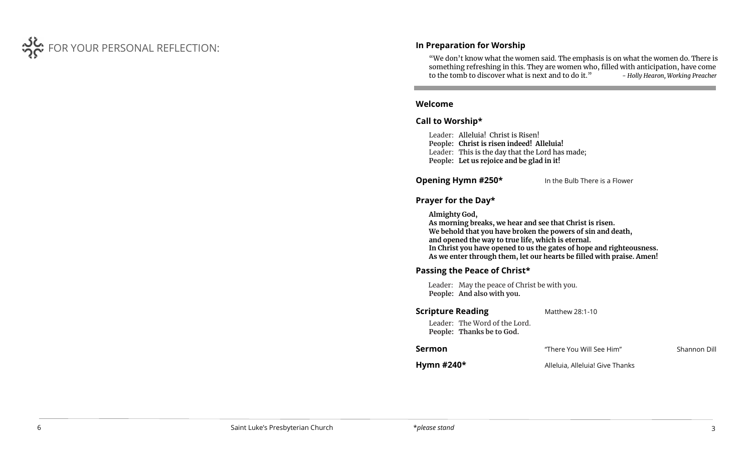

## **In Preparation for Worship**

"We don't know what the women said. The emphasis is on what the women do. There is something refreshing in this. They are women who, filled with anticipation, have come to the tomb to discover what is next and to do it." *- Holly Hearon, Working Preacher*

I

### **Welcome**

## **Call to Worship\***

Leader: Alleluia! Christ is Risen! **People: Christ is risen indeed! Alleluia!** Leader: This is the day that the Lord has made; **People: Let us rejoice and be glad in it!**

l

**Opening Hymn #250\*** In the Bulb There is a Flower

## **Prayer for the Day\***

**Almighty God, As morning breaks, we hear and see that Christ is risen. We behold that you have broken the powers of sin and death, and opened the way to true life, which is eternal. In Christ you have opened to us the gates of hope and righteousness. As we enter through them, let our hearts be filled with praise. Amen!**

## **Passing the Peace of Christ\***

Leader: May the peace of Christ be with you. **People: And also with you.** 

# **Scripture Reading** Matthew 28:1-10 Leader: The Word of the Lord. **People: Thanks be to God. Sermon Sermon** There You Will See Him" Shannon Dill

**Hymn #240\*** Alleluia, Alleluia! Give Thanks